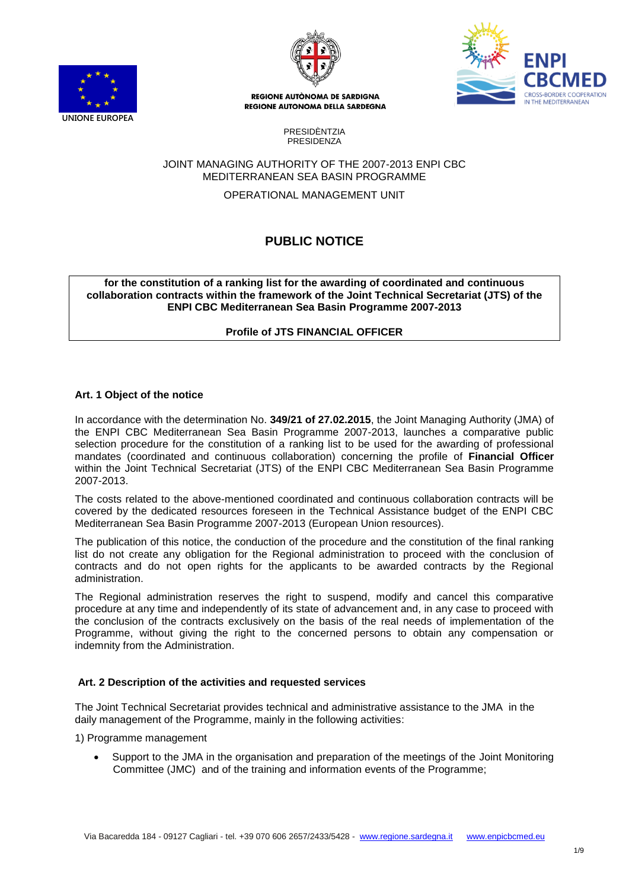





> PRESIDÈNTZIA PRESIDENZA

### JOINT MANAGING AUTHORITY OF THE 2007-2013 ENPI CBC MEDITERRANEAN SEA BASIN PROGRAMME

OPERATIONAL MANAGEMENT UNIT

# **PUBLIC NOTICE**

**for the constitution of a ranking list for the awarding of coordinated and continuous collaboration contracts within the framework of the Joint Technical Secretariat (JTS) of the ENPI CBC Mediterranean Sea Basin Programme 2007-2013**

**Profile of JTS FINANCIAL OFFICER**

### **Art. 1 Object of the notice**

In accordance with the determination No. **349/21 of 27.02.2015**, the Joint Managing Authority (JMA) of the ENPI CBC Mediterranean Sea Basin Programme 2007-2013, launches a comparative public selection procedure for the constitution of a ranking list to be used for the awarding of professional mandates (coordinated and continuous collaboration) concerning the profile of **Financial Officer** within the Joint Technical Secretariat (JTS) of the ENPI CBC Mediterranean Sea Basin Programme 2007-2013.

The costs related to the above-mentioned coordinated and continuous collaboration contracts will be covered by the dedicated resources foreseen in the Technical Assistance budget of the ENPI CBC Mediterranean Sea Basin Programme 2007-2013 (European Union resources).

The publication of this notice, the conduction of the procedure and the constitution of the final ranking list do not create any obligation for the Regional administration to proceed with the conclusion of contracts and do not open rights for the applicants to be awarded contracts by the Regional administration.

The Regional administration reserves the right to suspend, modify and cancel this comparative procedure at any time and independently of its state of advancement and, in any case to proceed with the conclusion of the contracts exclusively on the basis of the real needs of implementation of the Programme, without giving the right to the concerned persons to obtain any compensation or indemnity from the Administration.

### **Art. 2 Description of the activities and requested services**

The Joint Technical Secretariat provides technical and administrative assistance to the JMA in the daily management of the Programme, mainly in the following activities:

1) Programme management

 Support to the JMA in the organisation and preparation of the meetings of the Joint Monitoring Committee (JMC) and of the training and information events of the Programme;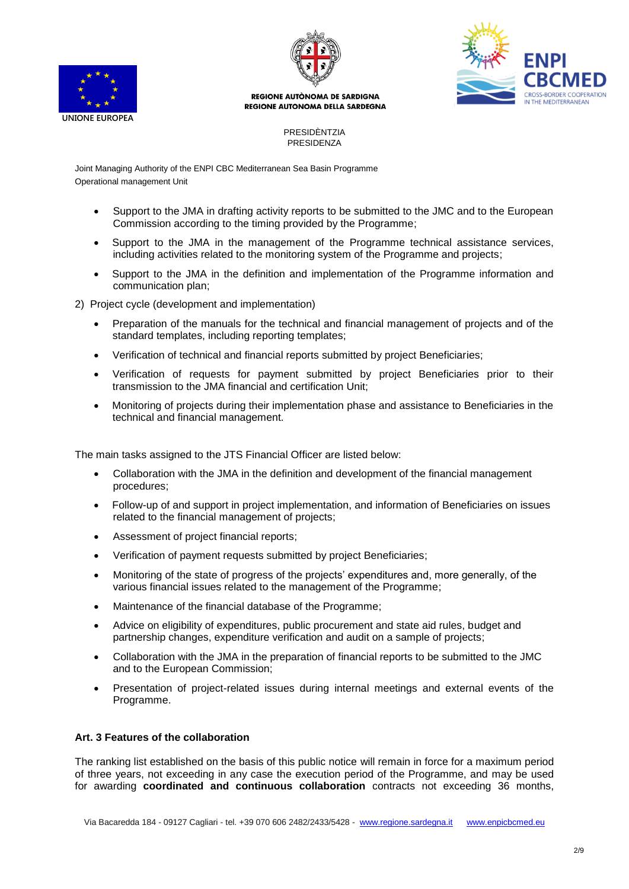





### PRESIDÈNTZIA PRESIDENZA

Joint Managing Authority of the ENPI CBC Mediterranean Sea Basin Programme Operational management Unit

- Support to the JMA in drafting activity reports to be submitted to the JMC and to the European Commission according to the timing provided by the Programme;
- Support to the JMA in the management of the Programme technical assistance services, including activities related to the monitoring system of the Programme and projects;
- Support to the JMA in the definition and implementation of the Programme information and communication plan;
- 2) Project cycle (development and implementation)
	- Preparation of the manuals for the technical and financial management of projects and of the standard templates, including reporting templates;
	- Verification of technical and financial reports submitted by project Beneficiaries;
	- Verification of requests for payment submitted by project Beneficiaries prior to their transmission to the JMA financial and certification Unit;
	- Monitoring of projects during their implementation phase and assistance to Beneficiaries in the technical and financial management.

The main tasks assigned to the JTS Financial Officer are listed below:

- Collaboration with the JMA in the definition and development of the financial management procedures;
- Follow-up of and support in project implementation, and information of Beneficiaries on issues related to the financial management of projects;
- Assessment of project financial reports;
- Verification of payment requests submitted by project Beneficiaries;
- Monitoring of the state of progress of the projects' expenditures and, more generally, of the various financial issues related to the management of the Programme;
- Maintenance of the financial database of the Programme;
- Advice on eligibility of expenditures, public procurement and state aid rules, budget and partnership changes, expenditure verification and audit on a sample of projects;
- Collaboration with the JMA in the preparation of financial reports to be submitted to the JMC and to the European Commission;
- Presentation of project-related issues during internal meetings and external events of the Programme.

# **Art. 3 Features of the collaboration**

The ranking list established on the basis of this public notice will remain in force for a maximum period of three years, not exceeding in any case the execution period of the Programme, and may be used for awarding **coordinated and continuous collaboration** contracts not exceeding 36 months,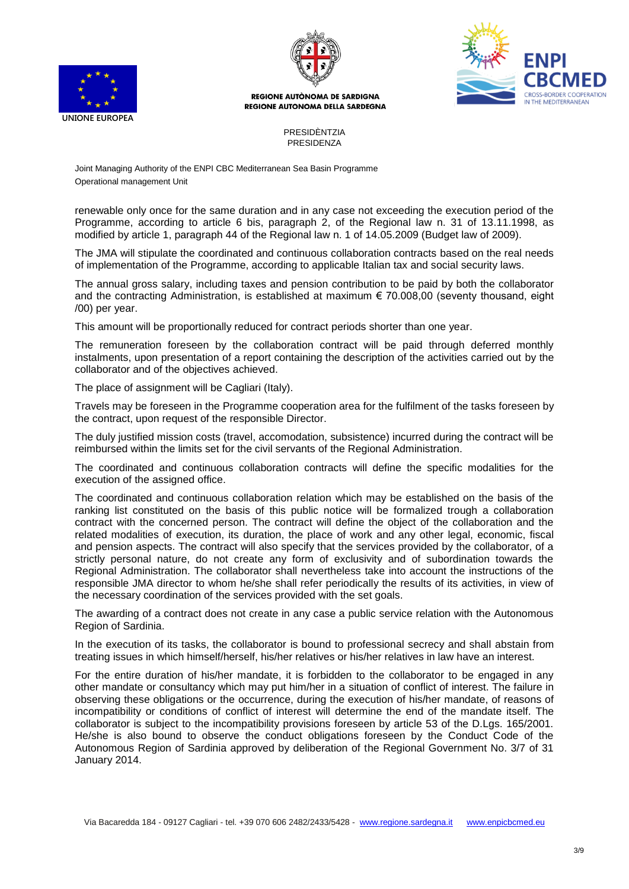





PRESIDÈNTZIA PRESIDENZA

Joint Managing Authority of the ENPI CBC Mediterranean Sea Basin Programme Operational management Unit

renewable only once for the same duration and in any case not exceeding the execution period of the Programme, according to article 6 bis, paragraph 2, of the Regional law n. 31 of 13.11.1998, as modified by article 1, paragraph 44 of the Regional law n. 1 of 14.05.2009 (Budget law of 2009).

The JMA will stipulate the coordinated and continuous collaboration contracts based on the real needs of implementation of the Programme, according to applicable Italian tax and social security laws.

The annual gross salary, including taxes and pension contribution to be paid by both the collaborator and the contracting Administration, is established at maximum € 70.008,00 (seventy thousand, eight /00) per year.

This amount will be proportionally reduced for contract periods shorter than one year.

The remuneration foreseen by the collaboration contract will be paid through deferred monthly instalments, upon presentation of a report containing the description of the activities carried out by the collaborator and of the objectives achieved.

The place of assignment will be Cagliari (Italy).

Travels may be foreseen in the Programme cooperation area for the fulfilment of the tasks foreseen by the contract, upon request of the responsible Director.

The duly justified mission costs (travel, accomodation, subsistence) incurred during the contract will be reimbursed within the limits set for the civil servants of the Regional Administration.

The coordinated and continuous collaboration contracts will define the specific modalities for the execution of the assigned office.

The coordinated and continuous collaboration relation which may be established on the basis of the ranking list constituted on the basis of this public notice will be formalized trough a collaboration contract with the concerned person. The contract will define the object of the collaboration and the related modalities of execution, its duration, the place of work and any other legal, economic, fiscal and pension aspects. The contract will also specify that the services provided by the collaborator, of a strictly personal nature, do not create any form of exclusivity and of subordination towards the Regional Administration. The collaborator shall nevertheless take into account the instructions of the responsible JMA director to whom he/she shall refer periodically the results of its activities, in view of the necessary coordination of the services provided with the set goals.

The awarding of a contract does not create in any case a public service relation with the Autonomous Region of Sardinia.

In the execution of its tasks, the collaborator is bound to professional secrecy and shall abstain from treating issues in which himself/herself, his/her relatives or his/her relatives in law have an interest.

For the entire duration of his/her mandate, it is forbidden to the collaborator to be engaged in any other mandate or consultancy which may put him/her in a situation of conflict of interest. The failure in observing these obligations or the occurrence, during the execution of his/her mandate, of reasons of incompatibility or conditions of conflict of interest will determine the end of the mandate itself. The collaborator is subject to the incompatibility provisions foreseen by article 53 of the D.Lgs. 165/2001. He/she is also bound to observe the conduct obligations foreseen by the Conduct Code of the Autonomous Region of Sardinia approved by deliberation of the Regional Government No. 3/7 of 31 January 2014.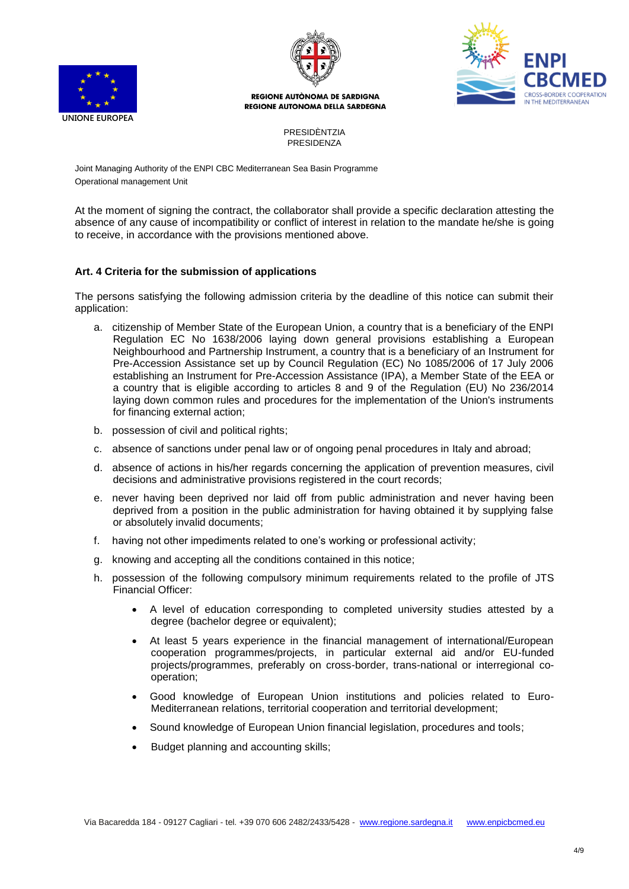





PRESIDÈNTZIA PRESIDENZA

Joint Managing Authority of the ENPI CBC Mediterranean Sea Basin Programme Operational management Unit

At the moment of signing the contract, the collaborator shall provide a specific declaration attesting the absence of any cause of incompatibility or conflict of interest in relation to the mandate he/she is going to receive, in accordance with the provisions mentioned above.

### **Art. 4 Criteria for the submission of applications**

The persons satisfying the following admission criteria by the deadline of this notice can submit their application:

- a. citizenship of Member State of the European Union, a country that is a beneficiary of the ENPI Regulation EC No 1638/2006 laying down general provisions establishing a European Neighbourhood and Partnership Instrument, a country that is a beneficiary of an Instrument for Pre-Accession Assistance set up by Council Regulation (EC) No 1085/2006 of 17 July 2006 establishing an Instrument for Pre-Accession Assistance (IPA), a Member State of the EEA or a country that is eligible according to articles 8 and 9 of the Regulation (EU) No 236/2014 laying down common rules and procedures for the implementation of the Union's instruments for financing external action;
- b. possession of civil and political rights;
- c. absence of sanctions under penal law or of ongoing penal procedures in Italy and abroad;
- d. absence of actions in his/her regards concerning the application of prevention measures, civil decisions and administrative provisions registered in the court records;
- e. never having been deprived nor laid off from public administration and never having been deprived from a position in the public administration for having obtained it by supplying false or absolutely invalid documents;
- f. having not other impediments related to one's working or professional activity;
- g. knowing and accepting all the conditions contained in this notice;
- h. possession of the following compulsory minimum requirements related to the profile of JTS Financial Officer:
	- A level of education corresponding to completed university studies attested by a degree (bachelor degree or equivalent);
	- At least 5 years experience in the financial management of international/European cooperation programmes/projects, in particular external aid and/or EU-funded projects/programmes, preferably on cross-border, trans-national or interregional cooperation;
	- Good knowledge of European Union institutions and policies related to Euro-Mediterranean relations, territorial cooperation and territorial development;
	- Sound knowledge of European Union financial legislation, procedures and tools;
	- Budget planning and accounting skills;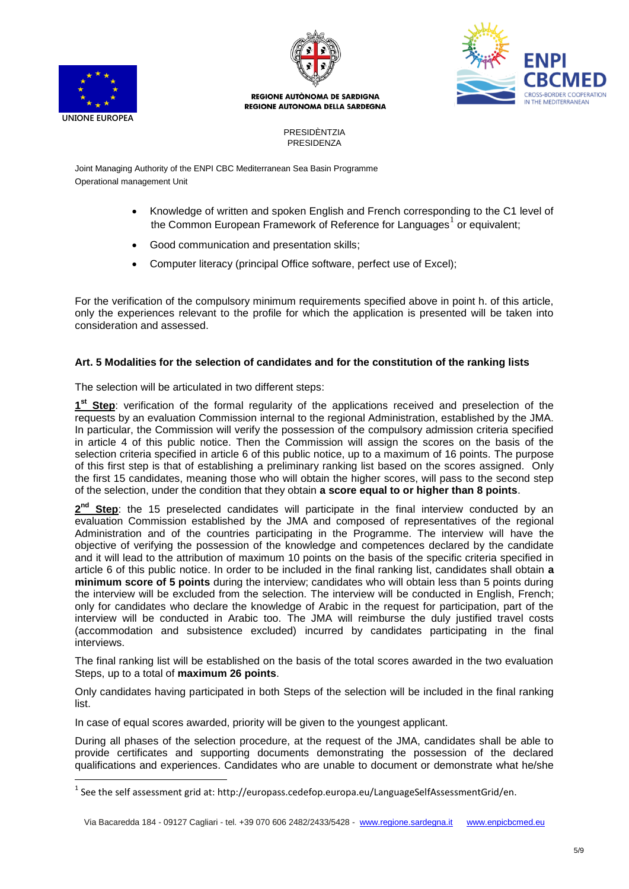

 $\overline{a}$ 



**REGIONE AUTÒNOMA DE SARDIGNA** REGIONE AUTONOMA DELLA SARDEGNA



PRESIDÈNTZIA PRESIDENZA

Joint Managing Authority of the ENPI CBC Mediterranean Sea Basin Programme Operational management Unit

- Knowledge of written and spoken English and French corresponding to the C1 level of the Common European Framework of Reference for Languages<sup>1</sup> or equivalent;
- Good communication and presentation skills;
- Computer literacy (principal Office software, perfect use of Excel);

For the verification of the compulsory minimum requirements specified above in point h. of this article, only the experiences relevant to the profile for which the application is presented will be taken into consideration and assessed.

### **Art. 5 Modalities for the selection of candidates and for the constitution of the ranking lists**

The selection will be articulated in two different steps:

1<sup>st</sup> Step: verification of the formal regularity of the applications received and preselection of the requests by an evaluation Commission internal to the regional Administration, established by the JMA. In particular, the Commission will verify the possession of the compulsory admission criteria specified in article 4 of this public notice. Then the Commission will assign the scores on the basis of the selection criteria specified in article 6 of this public notice, up to a maximum of 16 points. The purpose of this first step is that of establishing a preliminary ranking list based on the scores assigned. Only the first 15 candidates, meaning those who will obtain the higher scores, will pass to the second step of the selection, under the condition that they obtain **a score equal to or higher than 8 points**.

**2 nd Step**: the 15 preselected candidates will participate in the final interview conducted by an evaluation Commission established by the JMA and composed of representatives of the regional Administration and of the countries participating in the Programme. The interview will have the objective of verifying the possession of the knowledge and competences declared by the candidate and it will lead to the attribution of maximum 10 points on the basis of the specific criteria specified in article 6 of this public notice. In order to be included in the final ranking list, candidates shall obtain **a minimum score of 5 points** during the interview; candidates who will obtain less than 5 points during the interview will be excluded from the selection. The interview will be conducted in English, French; only for candidates who declare the knowledge of Arabic in the request for participation, part of the interview will be conducted in Arabic too. The JMA will reimburse the duly justified travel costs (accommodation and subsistence excluded) incurred by candidates participating in the final interviews.

The final ranking list will be established on the basis of the total scores awarded in the two evaluation Steps, up to a total of **maximum 26 points**.

Only candidates having participated in both Steps of the selection will be included in the final ranking list.

In case of equal scores awarded, priority will be given to the youngest applicant.

During all phases of the selection procedure, at the request of the JMA, candidates shall be able to provide certificates and supporting documents demonstrating the possession of the declared qualifications and experiences. Candidates who are unable to document or demonstrate what he/she

 $^{1}$  See the self assessment grid at: http://europass.cedefop.europa.eu/LanguageSelfAssessmentGrid/en.

Via Bacaredda 184 - 09127 Cagliari - tel. +39 070 606 2482/2433/5428 - www.regione.sardegna.it www.enpicbcmed.eu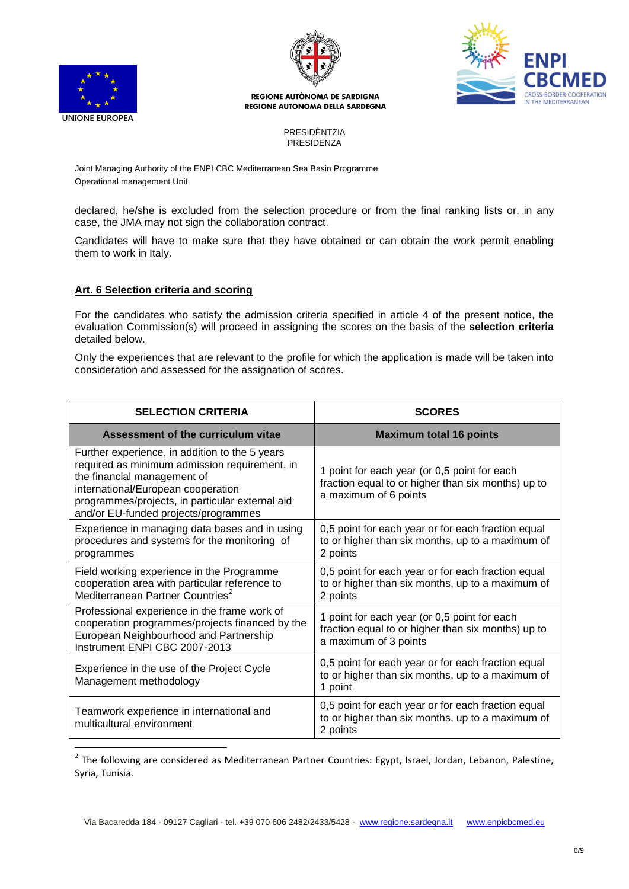

 $\overline{a}$ 



**REGIONE AUTÒNOMA DE SARDIGNA** REGIONE AUTONOMA DELLA SARDEGNA



PRESIDÈNTZIA PRESIDENZA

Joint Managing Authority of the ENPI CBC Mediterranean Sea Basin Programme Operational management Unit

declared, he/she is excluded from the selection procedure or from the final ranking lists or, in any case, the JMA may not sign the collaboration contract.

Candidates will have to make sure that they have obtained or can obtain the work permit enabling them to work in Italy.

### **Art. 6 Selection criteria and scoring**

For the candidates who satisfy the admission criteria specified in article 4 of the present notice, the evaluation Commission(s) will proceed in assigning the scores on the basis of the **selection criteria** detailed below.

Only the experiences that are relevant to the profile for which the application is made will be taken into consideration and assessed for the assignation of scores.

| <b>SELECTION CRITERIA</b>                                                                                                                                                                                                                                       | <b>SCORES</b>                                                                                                               |
|-----------------------------------------------------------------------------------------------------------------------------------------------------------------------------------------------------------------------------------------------------------------|-----------------------------------------------------------------------------------------------------------------------------|
| Assessment of the curriculum vitae                                                                                                                                                                                                                              | <b>Maximum total 16 points</b>                                                                                              |
| Further experience, in addition to the 5 years<br>required as minimum admission requirement, in<br>the financial management of<br>international/European cooperation<br>programmes/projects, in particular external aid<br>and/or EU-funded projects/programmes | 1 point for each year (or 0,5 point for each<br>fraction equal to or higher than six months) up to<br>a maximum of 6 points |
| Experience in managing data bases and in using<br>procedures and systems for the monitoring of<br>programmes                                                                                                                                                    | 0,5 point for each year or for each fraction equal<br>to or higher than six months, up to a maximum of<br>2 points          |
| Field working experience in the Programme<br>cooperation area with particular reference to<br>Mediterranean Partner Countries <sup>2</sup>                                                                                                                      | 0,5 point for each year or for each fraction equal<br>to or higher than six months, up to a maximum of<br>2 points          |
| Professional experience in the frame work of<br>cooperation programmes/projects financed by the<br>European Neighbourhood and Partnership<br>Instrument ENPI CBC 2007-2013                                                                                      | 1 point for each year (or 0,5 point for each<br>fraction equal to or higher than six months) up to<br>a maximum of 3 points |
| Experience in the use of the Project Cycle<br>Management methodology                                                                                                                                                                                            | 0,5 point for each year or for each fraction equal<br>to or higher than six months, up to a maximum of<br>1 point           |
| Teamwork experience in international and<br>multicultural environment                                                                                                                                                                                           | 0,5 point for each year or for each fraction equal<br>to or higher than six months, up to a maximum of<br>2 points          |

<sup>2</sup> The following are considered as Mediterranean Partner Countries: Egypt, Israel, Jordan, Lebanon, Palestine, Syria, Tunisia.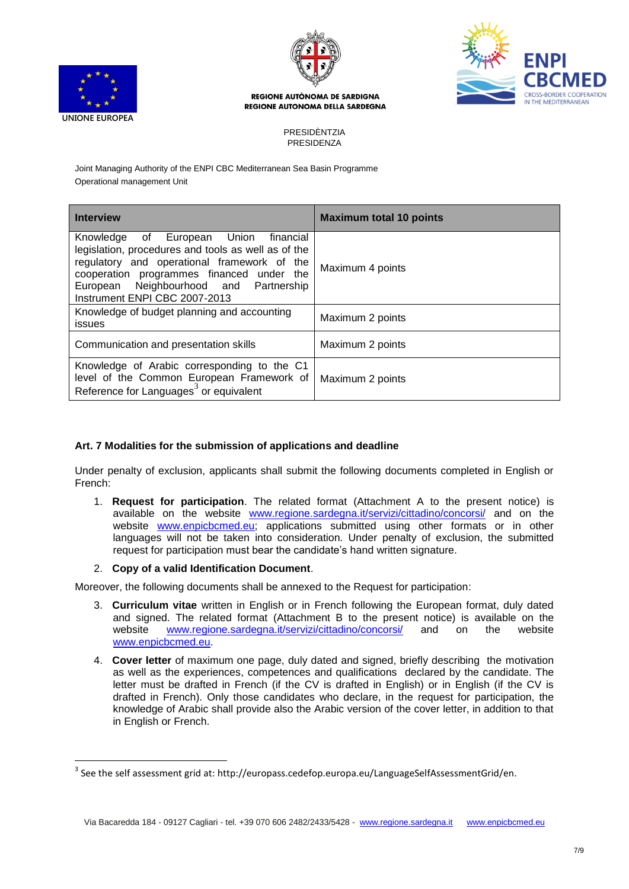

 $\overline{a}$ 





#### **REGIONE AUTÒNOMA DE SARDIGNA REGIONE AUTONOMA DELLA SARDEGNA**

PRESIDÈNTZIA PRESIDENZA

Joint Managing Authority of the ENPI CBC Mediterranean Sea Basin Programme Operational management Unit

| <b>Interview</b>                                                                                                                                                                                                                                                          | <b>Maximum total 10 points</b> |
|---------------------------------------------------------------------------------------------------------------------------------------------------------------------------------------------------------------------------------------------------------------------------|--------------------------------|
| Knowledge of<br>European Union<br>financial<br>legislation, procedures and tools as well as of the<br>regulatory and operational framework of the<br>cooperation programmes financed under the<br>European Neighbourhood and Partnership<br>Instrument ENPI CBC 2007-2013 | Maximum 4 points               |
| Knowledge of budget planning and accounting<br>issues                                                                                                                                                                                                                     | Maximum 2 points               |
| Communication and presentation skills                                                                                                                                                                                                                                     | Maximum 2 points               |
| Knowledge of Arabic corresponding to the C1<br>level of the Common European Framework of<br>Reference for Languages <sup>3</sup> or equivalent                                                                                                                            | Maximum 2 points               |

# **Art. 7 Modalities for the submission of applications and deadline**

Under penalty of exclusion, applicants shall submit the following documents completed in English or French:

1. **Request for participation**. The related format (Attachment A to the present notice) is available on the website [www.regione.sardegna.it/servizi/cittadino/concorsi/](http://www.regione.sardegna.it/servizi/cittadino/concorsi/) and on the website [www.enpicbcmed.eu;](http://www.enpicbcmed.eu/) applications submitted using other formats or in other languages will not be taken into consideration. Under penalty of exclusion, the submitted request for participation must bear the candidate's hand written signature.

# 2. **Copy of a valid Identification Document**.

Moreover, the following documents shall be annexed to the Request for participation:

- 3. **Curriculum vitae** written in English or in French following the European format, duly dated and signed. The related format (Attachment B to the present notice) is available on the website<br>website www.regione.sardegna.it/servizi/cittadino/concorsi/ and on the website website [www.regione.sardegna.it/servizi/cittadino/concorsi/](http://www.regione.sardegna.it/servizi/cittadino/concorsi/) [www.enpicbcmed.eu.](http://www.enpicbcmed.eu/)
- 4. **Cover letter** of maximum one page, duly dated and signed, briefly describing the motivation as well as the experiences, competences and qualifications declared by the candidate. The letter must be drafted in French (if the CV is drafted in English) or in English (if the CV is drafted in French). Only those candidates who declare, in the request for participation, the knowledge of Arabic shall provide also the Arabic version of the cover letter, in addition to that in English or French.

 $^3$  See the self assessment grid at: http://europass.cedefop.europa.eu/LanguageSelfAssessmentGrid/en.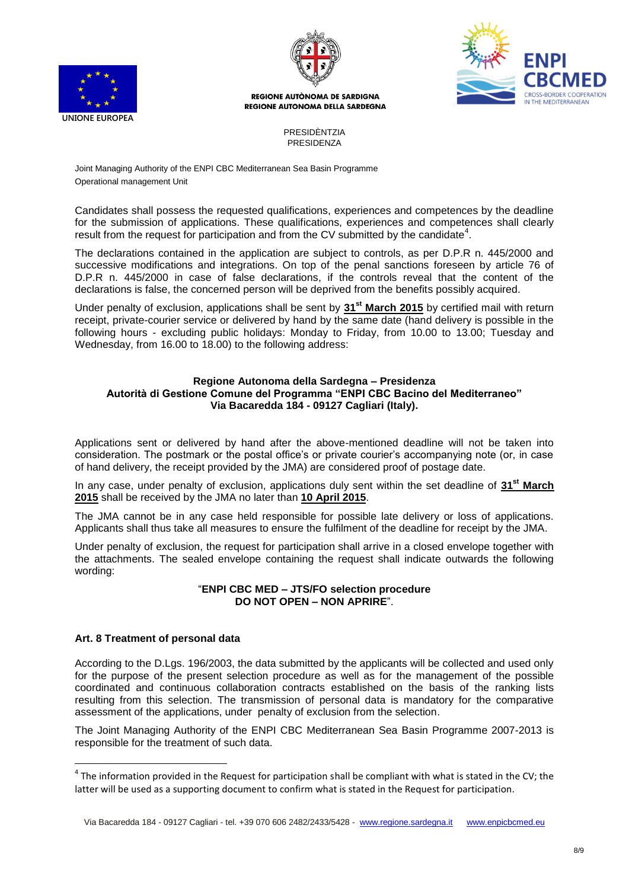





PRESIDÈNTZIA PRESIDENZA

Joint Managing Authority of the ENPI CBC Mediterranean Sea Basin Programme Operational management Unit

Candidates shall possess the requested qualifications, experiences and competences by the deadline for the submission of applications. These qualifications, experiences and competences shall clearly result from the request for participation and from the CV submitted by the candidate<sup>4</sup>.

The declarations contained in the application are subject to controls, as per D.P.R n. 445/2000 and successive modifications and integrations. On top of the penal sanctions foreseen by article 76 of D.P.R n. 445/2000 in case of false declarations, if the controls reveal that the content of the declarations is false, the concerned person will be deprived from the benefits possibly acquired.

Under penalty of exclusion, applications shall be sent by **31st March 2015** by certified mail with return receipt, private-courier service or delivered by hand by the same date (hand delivery is possible in the following hours - excluding public holidays: Monday to Friday, from 10.00 to 13.00; Tuesday and Wednesday, from 16.00 to 18.00) to the following address:

### **Regione Autonoma della Sardegna – Presidenza Autorità di Gestione Comune del Programma "ENPI CBC Bacino del Mediterraneo" Via Bacaredda 184 - 09127 Cagliari (Italy).**

Applications sent or delivered by hand after the above-mentioned deadline will not be taken into consideration. The postmark or the postal office's or private courier's accompanying note (or, in case of hand delivery, the receipt provided by the JMA) are considered proof of postage date.

In any case, under penalty of exclusion, applications duly sent within the set deadline of **31st March 2015** shall be received by the JMA no later than **10 April 2015**.

The JMA cannot be in any case held responsible for possible late delivery or loss of applications. Applicants shall thus take all measures to ensure the fulfilment of the deadline for receipt by the JMA.

Under penalty of exclusion, the request for participation shall arrive in a closed envelope together with the attachments. The sealed envelope containing the request shall indicate outwards the following wording:

### "**ENPI CBC MED – JTS/FO selection procedure DO NOT OPEN – NON APRIRE**".

# **Art. 8 Treatment of personal data**

 $\overline{a}$ 

According to the D.Lgs. 196/2003, the data submitted by the applicants will be collected and used only for the purpose of the present selection procedure as well as for the management of the possible coordinated and continuous collaboration contracts established on the basis of the ranking lists resulting from this selection. The transmission of personal data is mandatory for the comparative assessment of the applications, under penalty of exclusion from the selection.

The Joint Managing Authority of the ENPI CBC Mediterranean Sea Basin Programme 2007-2013 is responsible for the treatment of such data.

 $^4$  The information provided in the Request for participation shall be compliant with what is stated in the CV; the latter will be used as a supporting document to confirm what is stated in the Request for participation.